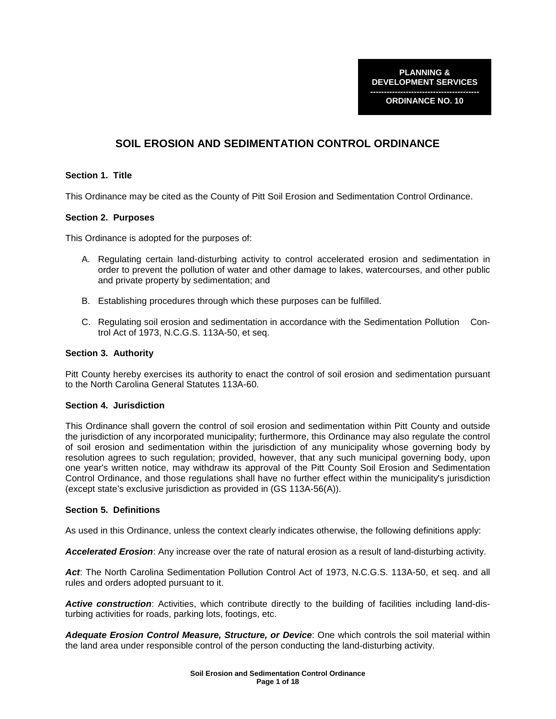**PLANNING & DEVELOPMENT SERVICES** 

**---------------------------------------- ORDINANCE NO. 10** 

# **SOIL EROSION AND SEDIMENTATION CONTROL ORDINANCE**

### **Section 1. Title**

This Ordinance may be cited as the County of Pitt Soil Erosion and Sedimentation Control Ordinance.

#### **Section 2. Purposes**

This Ordinance is adopted for the purposes of:

- A. Regulating certain land-disturbing activity to control accelerated erosion and sedimentation in order to prevent the pollution of water and other damage to lakes, watercourses, and other public and private property by sedimentation; and
- B. Establishing procedures through which these purposes can be fulfilled.
- C. Regulating soil erosion and sedimentation in accordance with the Sedimentation Pollution Control Act of 1973, N.C.G.S. 113A-50, et seq.

#### **Section 3. Authority**

Pitt County hereby exercises its authority to enact the control of soil erosion and sedimentation pursuant to the North Carolina General Statutes 113A-60.

#### **Section 4. Jurisdiction**

This Ordinance shall govern the control of soil erosion and sedimentation within Pitt County and outside the jurisdiction of any incorporated municipality; furthermore, this Ordinance may also regulate the control of soil erosion and sedimentation within the jurisdiction of any municipality whose governing body by resolution agrees to such regulation; provided, however, that any such municipal governing body, upon one year's written notice, may withdraw its approval of the Pitt County Soil Erosion and Sedimentation Control Ordinance, and those regulations shall have no further effect within the municipality's jurisdiction (except state's exclusive jurisdiction as provided in (GS 113A-56(A)).

#### **Section 5. Definitions**

As used in this Ordinance, unless the context clearly indicates otherwise, the following definitions apply:

**Accelerated Erosion**: Any increase over the rate of natural erosion as a result of land-disturbing activity.

**Act**: The North Carolina Sedimentation Pollution Control Act of 1973, N.C.G.S. 113A-50, et seq. and all rules and orders adopted pursuant to it.

**Active construction**: Activities, which contribute directly to the building of facilities including land-disturbing activities for roads, parking lots, footings, etc.

**Adequate Erosion Control Measure, Structure, or Device**: One which controls the soil material within the land area under responsible control of the person conducting the land-disturbing activity.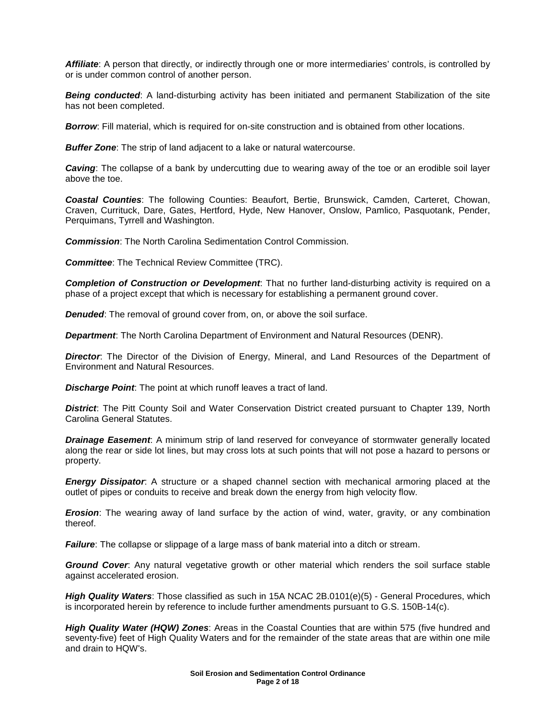**Affiliate**: A person that directly, or indirectly through one or more intermediaries' controls, is controlled by or is under common control of another person.

**Being conducted:** A land-disturbing activity has been initiated and permanent Stabilization of the site has not been completed.

**Borrow:** Fill material, which is required for on-site construction and is obtained from other locations.

**Buffer Zone**: The strip of land adjacent to a lake or natural watercourse.

**Caving**: The collapse of a bank by undercutting due to wearing away of the toe or an erodible soil layer above the toe.

**Coastal Counties**: The following Counties: Beaufort, Bertie, Brunswick, Camden, Carteret, Chowan, Craven, Currituck, Dare, Gates, Hertford, Hyde, New Hanover, Onslow, Pamlico, Pasquotank, Pender, Perquimans, Tyrrell and Washington.

**Commission**: The North Carolina Sedimentation Control Commission.

**Committee**: The Technical Review Committee (TRC).

**Completion of Construction or Development**: That no further land-disturbing activity is required on a phase of a project except that which is necessary for establishing a permanent ground cover.

**Denuded:** The removal of ground cover from, on, or above the soil surface.

**Department**: The North Carolina Department of Environment and Natural Resources (DENR).

**Director**: The Director of the Division of Energy, Mineral, and Land Resources of the Department of Environment and Natural Resources.

**Discharge Point**: The point at which runoff leaves a tract of land.

**District**: The Pitt County Soil and Water Conservation District created pursuant to Chapter 139, North Carolina General Statutes.

**Drainage Easement**: A minimum strip of land reserved for conveyance of stormwater generally located along the rear or side lot lines, but may cross lots at such points that will not pose a hazard to persons or property.

**Energy Dissipator**: A structure or a shaped channel section with mechanical armoring placed at the outlet of pipes or conduits to receive and break down the energy from high velocity flow.

**Erosion**: The wearing away of land surface by the action of wind, water, gravity, or any combination thereof.

**Failure**: The collapse or slippage of a large mass of bank material into a ditch or stream.

**Ground Cover**: Any natural vegetative growth or other material which renders the soil surface stable against accelerated erosion.

**High Quality Waters**: Those classified as such in 15A NCAC 2B.0101(e)(5) - General Procedures, which is incorporated herein by reference to include further amendments pursuant to G.S. 150B-14(c).

**High Quality Water (HQW) Zones**: Areas in the Coastal Counties that are within 575 (five hundred and seventy-five) feet of High Quality Waters and for the remainder of the state areas that are within one mile and drain to HQW's.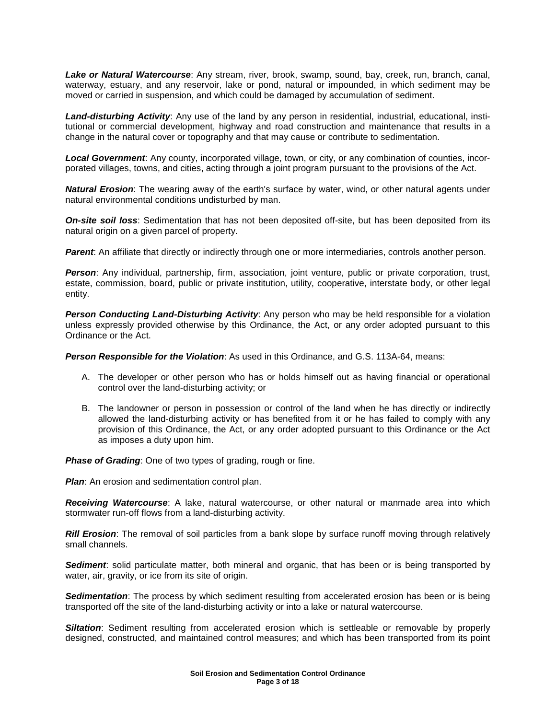**Lake or Natural Watercourse**: Any stream, river, brook, swamp, sound, bay, creek, run, branch, canal, waterway, estuary, and any reservoir, lake or pond, natural or impounded, in which sediment may be moved or carried in suspension, and which could be damaged by accumulation of sediment.

**Land-disturbing Activity**: Any use of the land by any person in residential, industrial, educational, institutional or commercial development, highway and road construction and maintenance that results in a change in the natural cover or topography and that may cause or contribute to sedimentation.

**Local Government**: Any county, incorporated village, town, or city, or any combination of counties, incorporated villages, towns, and cities, acting through a joint program pursuant to the provisions of the Act.

**Natural Erosion**: The wearing away of the earth's surface by water, wind, or other natural agents under natural environmental conditions undisturbed by man.

**On-site soil loss**: Sedimentation that has not been deposited off-site, but has been deposited from its natural origin on a given parcel of property.

**Parent**: An affiliate that directly or indirectly through one or more intermediaries, controls another person.

**Person**: Any individual, partnership, firm, association, joint venture, public or private corporation, trust, estate, commission, board, public or private institution, utility, cooperative, interstate body, or other legal entity.

**Person Conducting Land-Disturbing Activity**: Any person who may be held responsible for a violation unless expressly provided otherwise by this Ordinance, the Act, or any order adopted pursuant to this Ordinance or the Act.

**Person Responsible for the Violation**: As used in this Ordinance, and G.S. 113A-64, means:

- A. The developer or other person who has or holds himself out as having financial or operational control over the land-disturbing activity; or
- B. The landowner or person in possession or control of the land when he has directly or indirectly allowed the land-disturbing activity or has benefited from it or he has failed to comply with any provision of this Ordinance, the Act, or any order adopted pursuant to this Ordinance or the Act as imposes a duty upon him.

**Phase of Grading:** One of two types of grading, rough or fine.

**Plan:** An erosion and sedimentation control plan.

**Receiving Watercourse**: A lake, natural watercourse, or other natural or manmade area into which stormwater run-off flows from a land-disturbing activity.

**Rill Erosion**: The removal of soil particles from a bank slope by surface runoff moving through relatively small channels.

Sediment: solid particulate matter, both mineral and organic, that has been or is being transported by water, air, gravity, or ice from its site of origin.

**Sedimentation**: The process by which sediment resulting from accelerated erosion has been or is being transported off the site of the land-disturbing activity or into a lake or natural watercourse.

**Siltation**: Sediment resulting from accelerated erosion which is settleable or removable by properly designed, constructed, and maintained control measures; and which has been transported from its point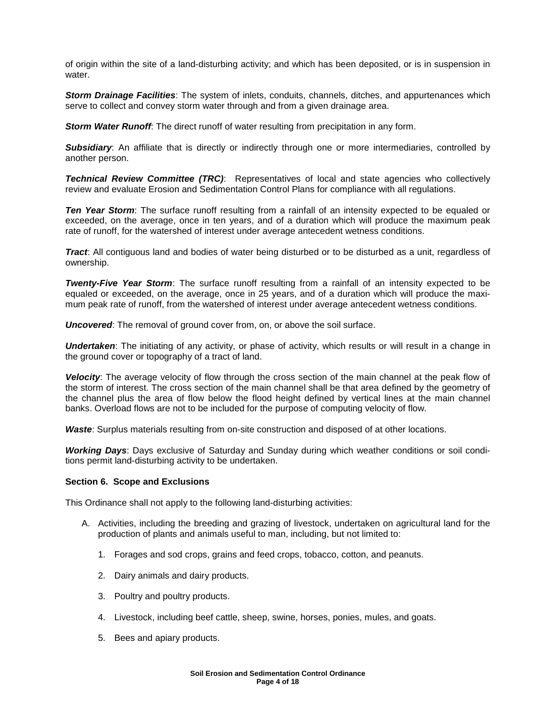of origin within the site of a land-disturbing activity; and which has been deposited, or is in suspension in water.

**Storm Drainage Facilities**: The system of inlets, conduits, channels, ditches, and appurtenances which serve to collect and convey storm water through and from a given drainage area.

**Storm Water Runoff**: The direct runoff of water resulting from precipitation in any form.

**Subsidiary:** An affiliate that is directly or indirectly through one or more intermediaries, controlled by another person.

**Technical Review Committee (TRC)**: Representatives of local and state agencies who collectively review and evaluate Erosion and Sedimentation Control Plans for compliance with all regulations.

**Ten Year Storm**: The surface runoff resulting from a rainfall of an intensity expected to be equaled or exceeded, on the average, once in ten years, and of a duration which will produce the maximum peak rate of runoff, for the watershed of interest under average antecedent wetness conditions.

**Tract**: All contiguous land and bodies of water being disturbed or to be disturbed as a unit, regardless of ownership.

**Twenty-Five Year Storm**: The surface runoff resulting from a rainfall of an intensity expected to be equaled or exceeded, on the average, once in 25 years, and of a duration which will produce the maximum peak rate of runoff, from the watershed of interest under average antecedent wetness conditions.

**Uncovered**: The removal of ground cover from, on, or above the soil surface.

**Undertaken:** The initiating of any activity, or phase of activity, which results or will result in a change in the ground cover or topography of a tract of land.

**Velocity**: The average velocity of flow through the cross section of the main channel at the peak flow of the storm of interest. The cross section of the main channel shall be that area defined by the geometry of the channel plus the area of flow below the flood height defined by vertical lines at the main channel banks. Overload flows are not to be included for the purpose of computing velocity of flow.

**Waste**: Surplus materials resulting from on-site construction and disposed of at other locations.

**Working Days**: Days exclusive of Saturday and Sunday during which weather conditions or soil conditions permit land-disturbing activity to be undertaken.

#### **Section 6. Scope and Exclusions**

This Ordinance shall not apply to the following land-disturbing activities:

- A. Activities, including the breeding and grazing of livestock, undertaken on agricultural land for the production of plants and animals useful to man, including, but not limited to:
	- 1. Forages and sod crops, grains and feed crops, tobacco, cotton, and peanuts.
	- 2. Dairy animals and dairy products.
	- 3. Poultry and poultry products.
	- 4. Livestock, including beef cattle, sheep, swine, horses, ponies, mules, and goats.
	- 5. Bees and apiary products.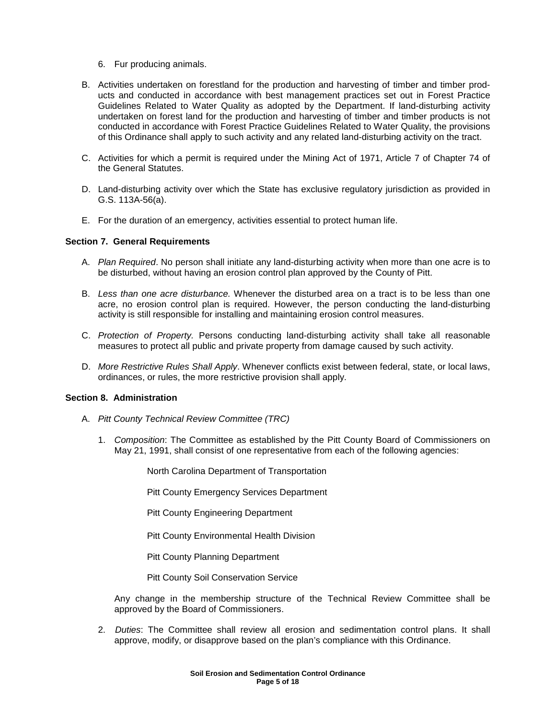- 6. Fur producing animals.
- B. Activities undertaken on forestland for the production and harvesting of timber and timber products and conducted in accordance with best management practices set out in Forest Practice Guidelines Related to Water Quality as adopted by the Department. If land-disturbing activity undertaken on forest land for the production and harvesting of timber and timber products is not conducted in accordance with Forest Practice Guidelines Related to Water Quality, the provisions of this Ordinance shall apply to such activity and any related land-disturbing activity on the tract.
- C. Activities for which a permit is required under the Mining Act of 1971, Article 7 of Chapter 74 of the General Statutes.
- D. Land-disturbing activity over which the State has exclusive regulatory jurisdiction as provided in G.S. 113A-56(a).
- E. For the duration of an emergency, activities essential to protect human life.

#### **Section 7. General Requirements**

- A. Plan Required. No person shall initiate any land-disturbing activity when more than one acre is to be disturbed, without having an erosion control plan approved by the County of Pitt.
- B. Less than one acre disturbance. Whenever the disturbed area on a tract is to be less than one acre, no erosion control plan is required. However, the person conducting the land-disturbing activity is still responsible for installing and maintaining erosion control measures.
- C. Protection of Property. Persons conducting land-disturbing activity shall take all reasonable measures to protect all public and private property from damage caused by such activity.
- D. More Restrictive Rules Shall Apply. Whenever conflicts exist between federal, state, or local laws, ordinances, or rules, the more restrictive provision shall apply.

#### **Section 8. Administration**

- A. Pitt County Technical Review Committee (TRC)
	- 1. Composition: The Committee as established by the Pitt County Board of Commissioners on May 21, 1991, shall consist of one representative from each of the following agencies:

North Carolina Department of Transportation

Pitt County Emergency Services Department

Pitt County Engineering Department

Pitt County Environmental Health Division

Pitt County Planning Department

Pitt County Soil Conservation Service

Any change in the membership structure of the Technical Review Committee shall be approved by the Board of Commissioners.

2. Duties: The Committee shall review all erosion and sedimentation control plans. It shall approve, modify, or disapprove based on the plan's compliance with this Ordinance.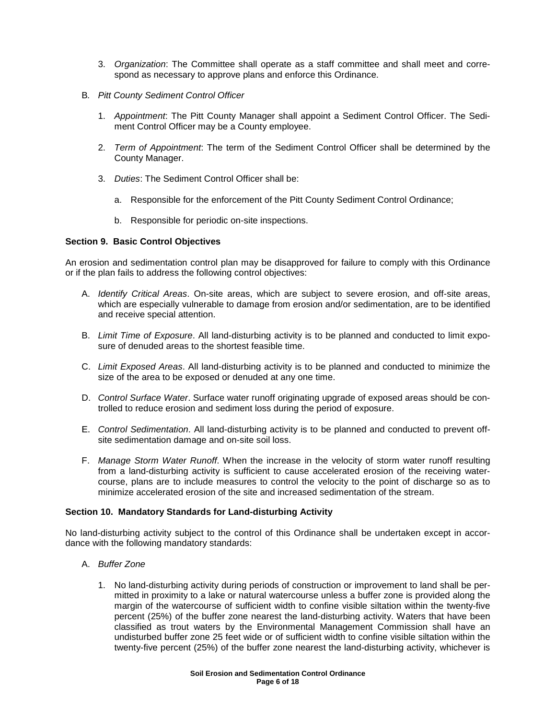- 3. Organization: The Committee shall operate as a staff committee and shall meet and correspond as necessary to approve plans and enforce this Ordinance.
- B. Pitt County Sediment Control Officer
	- 1. Appointment: The Pitt County Manager shall appoint a Sediment Control Officer. The Sediment Control Officer may be a County employee.
	- 2. Term of Appointment: The term of the Sediment Control Officer shall be determined by the County Manager.
	- 3. Duties: The Sediment Control Officer shall be:
		- a. Responsible for the enforcement of the Pitt County Sediment Control Ordinance;
		- b. Responsible for periodic on-site inspections.

### **Section 9. Basic Control Objectives**

An erosion and sedimentation control plan may be disapproved for failure to comply with this Ordinance or if the plan fails to address the following control objectives:

- A. Identify Critical Areas. On-site areas, which are subject to severe erosion, and off-site areas, which are especially vulnerable to damage from erosion and/or sedimentation, are to be identified and receive special attention.
- B. Limit Time of Exposure. All land-disturbing activity is to be planned and conducted to limit exposure of denuded areas to the shortest feasible time.
- C. Limit Exposed Areas. All land-disturbing activity is to be planned and conducted to minimize the size of the area to be exposed or denuded at any one time.
- D. Control Surface Water. Surface water runoff originating upgrade of exposed areas should be controlled to reduce erosion and sediment loss during the period of exposure.
- E. Control Sedimentation. All land-disturbing activity is to be planned and conducted to prevent offsite sedimentation damage and on-site soil loss.
- F. Manage Storm Water Runoff. When the increase in the velocity of storm water runoff resulting from a land-disturbing activity is sufficient to cause accelerated erosion of the receiving watercourse, plans are to include measures to control the velocity to the point of discharge so as to minimize accelerated erosion of the site and increased sedimentation of the stream.

### **Section 10. Mandatory Standards for Land-disturbing Activity**

No land-disturbing activity subject to the control of this Ordinance shall be undertaken except in accordance with the following mandatory standards:

- A. Buffer Zone
	- 1. No land-disturbing activity during periods of construction or improvement to land shall be permitted in proximity to a lake or natural watercourse unless a buffer zone is provided along the margin of the watercourse of sufficient width to confine visible siltation within the twenty-five percent (25%) of the buffer zone nearest the land-disturbing activity. Waters that have been classified as trout waters by the Environmental Management Commission shall have an undisturbed buffer zone 25 feet wide or of sufficient width to confine visible siltation within the twenty-five percent (25%) of the buffer zone nearest the land-disturbing activity, whichever is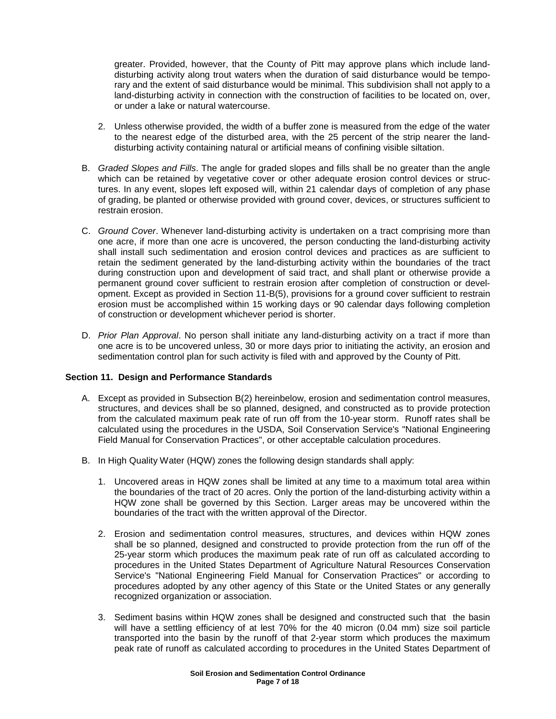greater. Provided, however, that the County of Pitt may approve plans which include landdisturbing activity along trout waters when the duration of said disturbance would be temporary and the extent of said disturbance would be minimal. This subdivision shall not apply to a land-disturbing activity in connection with the construction of facilities to be located on, over, or under a lake or natural watercourse.

- 2. Unless otherwise provided, the width of a buffer zone is measured from the edge of the water to the nearest edge of the disturbed area, with the 25 percent of the strip nearer the landdisturbing activity containing natural or artificial means of confining visible siltation.
- B. Graded Slopes and Fills. The angle for graded slopes and fills shall be no greater than the angle which can be retained by vegetative cover or other adequate erosion control devices or structures. In any event, slopes left exposed will, within 21 calendar days of completion of any phase of grading, be planted or otherwise provided with ground cover, devices, or structures sufficient to restrain erosion.
- C. Ground Cover. Whenever land-disturbing activity is undertaken on a tract comprising more than one acre, if more than one acre is uncovered, the person conducting the land-disturbing activity shall install such sedimentation and erosion control devices and practices as are sufficient to retain the sediment generated by the land-disturbing activity within the boundaries of the tract during construction upon and development of said tract, and shall plant or otherwise provide a permanent ground cover sufficient to restrain erosion after completion of construction or development. Except as provided in Section 11-B(5), provisions for a ground cover sufficient to restrain erosion must be accomplished within 15 working days or 90 calendar days following completion of construction or development whichever period is shorter.
- D. Prior Plan Approval. No person shall initiate any land-disturbing activity on a tract if more than one acre is to be uncovered unless, 30 or more days prior to initiating the activity, an erosion and sedimentation control plan for such activity is filed with and approved by the County of Pitt.

# **Section 11. Design and Performance Standards**

- A. Except as provided in Subsection B(2) hereinbelow, erosion and sedimentation control measures, structures, and devices shall be so planned, designed, and constructed as to provide protection from the calculated maximum peak rate of run off from the 10-year storm. Runoff rates shall be calculated using the procedures in the USDA, Soil Conservation Service's "National Engineering Field Manual for Conservation Practices", or other acceptable calculation procedures.
- B. In High Quality Water (HQW) zones the following design standards shall apply:
	- 1. Uncovered areas in HQW zones shall be limited at any time to a maximum total area within the boundaries of the tract of 20 acres. Only the portion of the land-disturbing activity within a HQW zone shall be governed by this Section. Larger areas may be uncovered within the boundaries of the tract with the written approval of the Director.
	- 2. Erosion and sedimentation control measures, structures, and devices within HQW zones shall be so planned, designed and constructed to provide protection from the run off of the 25-year storm which produces the maximum peak rate of run off as calculated according to procedures in the United States Department of Agriculture Natural Resources Conservation Service's "National Engineering Field Manual for Conservation Practices" or according to procedures adopted by any other agency of this State or the United States or any generally recognized organization or association.
	- 3. Sediment basins within HQW zones shall be designed and constructed such that the basin will have a settling efficiency of at lest 70% for the 40 micron (0.04 mm) size soil particle transported into the basin by the runoff of that 2-year storm which produces the maximum peak rate of runoff as calculated according to procedures in the United States Department of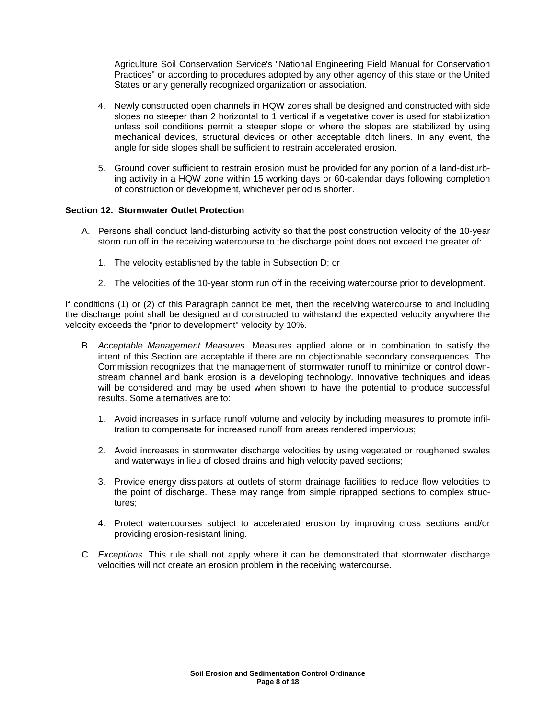Agriculture Soil Conservation Service's "National Engineering Field Manual for Conservation Practices" or according to procedures adopted by any other agency of this state or the United States or any generally recognized organization or association.

- 4. Newly constructed open channels in HQW zones shall be designed and constructed with side slopes no steeper than 2 horizontal to 1 vertical if a vegetative cover is used for stabilization unless soil conditions permit a steeper slope or where the slopes are stabilized by using mechanical devices, structural devices or other acceptable ditch liners. In any event, the angle for side slopes shall be sufficient to restrain accelerated erosion.
- 5. Ground cover sufficient to restrain erosion must be provided for any portion of a land-disturbing activity in a HQW zone within 15 working days or 60-calendar days following completion of construction or development, whichever period is shorter.

# **Section 12. Stormwater Outlet Protection**

- A. Persons shall conduct land-disturbing activity so that the post construction velocity of the 10-year storm run off in the receiving watercourse to the discharge point does not exceed the greater of:
	- 1. The velocity established by the table in Subsection D; or
	- 2. The velocities of the 10-year storm run off in the receiving watercourse prior to development.

If conditions (1) or (2) of this Paragraph cannot be met, then the receiving watercourse to and including the discharge point shall be designed and constructed to withstand the expected velocity anywhere the velocity exceeds the "prior to development" velocity by 10%.

- B. Acceptable Management Measures. Measures applied alone or in combination to satisfy the intent of this Section are acceptable if there are no objectionable secondary consequences. The Commission recognizes that the management of stormwater runoff to minimize or control downstream channel and bank erosion is a developing technology. Innovative techniques and ideas will be considered and may be used when shown to have the potential to produce successful results. Some alternatives are to:
	- 1. Avoid increases in surface runoff volume and velocity by including measures to promote infiltration to compensate for increased runoff from areas rendered impervious;
	- 2. Avoid increases in stormwater discharge velocities by using vegetated or roughened swales and waterways in lieu of closed drains and high velocity paved sections;
	- 3. Provide energy dissipators at outlets of storm drainage facilities to reduce flow velocities to the point of discharge. These may range from simple riprapped sections to complex structures;
	- 4. Protect watercourses subject to accelerated erosion by improving cross sections and/or providing erosion-resistant lining.
- C. Exceptions. This rule shall not apply where it can be demonstrated that stormwater discharge velocities will not create an erosion problem in the receiving watercourse.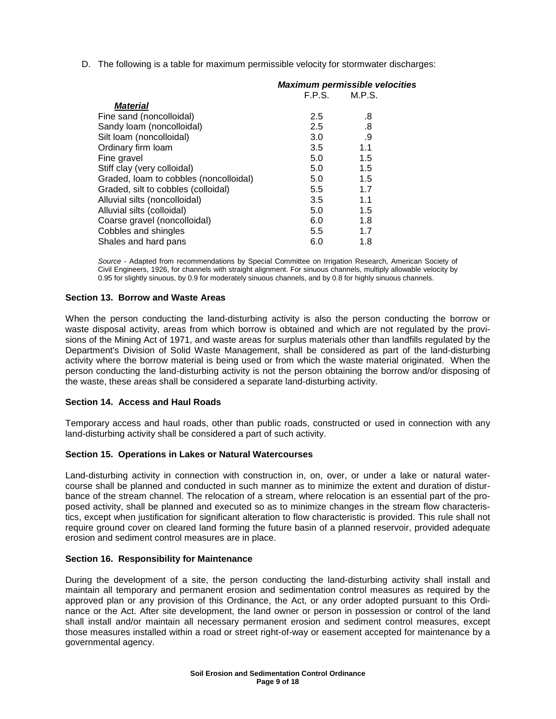D. The following is a table for maximum permissible velocity for stormwater discharges:

|                                        | <b>Maximum permissible velocities</b> |        |
|----------------------------------------|---------------------------------------|--------|
|                                        | F.P.S.                                | M.P.S. |
| <b>Material</b>                        |                                       |        |
| Fine sand (noncolloidal)               | 2.5                                   | .8     |
| Sandy loam (noncolloidal)              | 2.5                                   | .8     |
| Silt loam (noncolloidal)               | 3.0                                   | .9     |
| Ordinary firm loam                     | 3.5                                   | 1.1    |
| Fine gravel                            | 5.0                                   | 1.5    |
| Stiff clay (very colloidal)            | 5.0                                   | 1.5    |
| Graded, loam to cobbles (noncolloidal) | 5.0                                   | 1.5    |
| Graded, silt to cobbles (colloidal)    | 5.5                                   | 1.7    |
| Alluvial silts (noncolloidal)          | 3.5                                   | 1.1    |
| Alluvial silts (colloidal)             | 5.0                                   | 1.5    |
| Coarse gravel (noncolloidal)           | 6.0                                   | 1.8    |
| Cobbles and shingles                   | 5.5                                   | 1.7    |
| Shales and hard pans                   | 6.0                                   | 1.8    |

Source - Adapted from recommendations by Special Committee on Irrigation Research, American Society of Civil Engineers, 1926, for channels with straight alignment. For sinuous channels, multiply allowable velocity by 0.95 for slightly sinuous, by 0.9 for moderately sinuous channels, and by 0.8 for highly sinuous channels.

### **Section 13. Borrow and Waste Areas**

When the person conducting the land-disturbing activity is also the person conducting the borrow or waste disposal activity, areas from which borrow is obtained and which are not regulated by the provisions of the Mining Act of 1971, and waste areas for surplus materials other than landfills regulated by the Department's Division of Solid Waste Management, shall be considered as part of the land-disturbing activity where the borrow material is being used or from which the waste material originated. When the person conducting the land-disturbing activity is not the person obtaining the borrow and/or disposing of the waste, these areas shall be considered a separate land-disturbing activity.

### **Section 14. Access and Haul Roads**

Temporary access and haul roads, other than public roads, constructed or used in connection with any land-disturbing activity shall be considered a part of such activity.

### **Section 15. Operations in Lakes or Natural Watercourses**

Land-disturbing activity in connection with construction in, on, over, or under a lake or natural watercourse shall be planned and conducted in such manner as to minimize the extent and duration of disturbance of the stream channel. The relocation of a stream, where relocation is an essential part of the proposed activity, shall be planned and executed so as to minimize changes in the stream flow characteristics, except when justification for significant alteration to flow characteristic is provided. This rule shall not require ground cover on cleared land forming the future basin of a planned reservoir, provided adequate erosion and sediment control measures are in place.

### **Section 16. Responsibility for Maintenance**

During the development of a site, the person conducting the land-disturbing activity shall install and maintain all temporary and permanent erosion and sedimentation control measures as required by the approved plan or any provision of this Ordinance, the Act, or any order adopted pursuant to this Ordinance or the Act. After site development, the land owner or person in possession or control of the land shall install and/or maintain all necessary permanent erosion and sediment control measures, except those measures installed within a road or street right-of-way or easement accepted for maintenance by a governmental agency.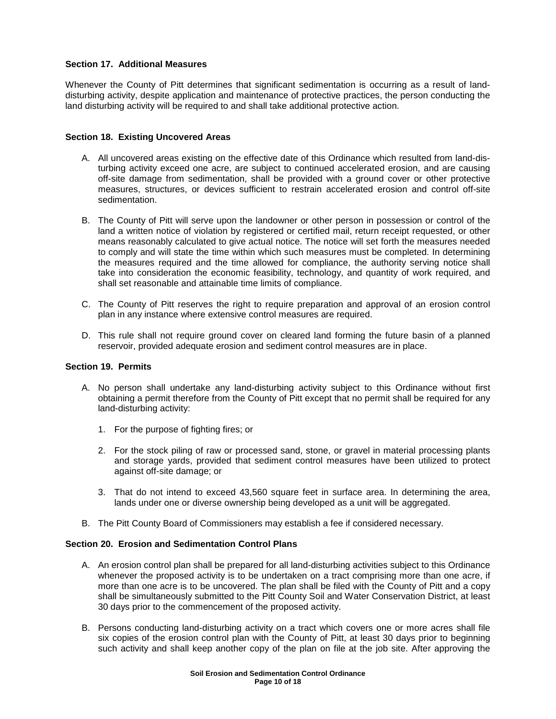### **Section 17. Additional Measures**

Whenever the County of Pitt determines that significant sedimentation is occurring as a result of landdisturbing activity, despite application and maintenance of protective practices, the person conducting the land disturbing activity will be required to and shall take additional protective action.

# **Section 18. Existing Uncovered Areas**

- A. All uncovered areas existing on the effective date of this Ordinance which resulted from land-disturbing activity exceed one acre, are subject to continued accelerated erosion, and are causing off-site damage from sedimentation, shall be provided with a ground cover or other protective measures, structures, or devices sufficient to restrain accelerated erosion and control off-site sedimentation.
- B. The County of Pitt will serve upon the landowner or other person in possession or control of the land a written notice of violation by registered or certified mail, return receipt requested, or other means reasonably calculated to give actual notice. The notice will set forth the measures needed to comply and will state the time within which such measures must be completed. In determining the measures required and the time allowed for compliance, the authority serving notice shall take into consideration the economic feasibility, technology, and quantity of work required, and shall set reasonable and attainable time limits of compliance.
- C. The County of Pitt reserves the right to require preparation and approval of an erosion control plan in any instance where extensive control measures are required.
- D. This rule shall not require ground cover on cleared land forming the future basin of a planned reservoir, provided adequate erosion and sediment control measures are in place.

### **Section 19. Permits**

- A. No person shall undertake any land-disturbing activity subject to this Ordinance without first obtaining a permit therefore from the County of Pitt except that no permit shall be required for any land-disturbing activity:
	- 1. For the purpose of fighting fires; or
	- 2. For the stock piling of raw or processed sand, stone, or gravel in material processing plants and storage yards, provided that sediment control measures have been utilized to protect against off-site damage; or
	- 3. That do not intend to exceed 43,560 square feet in surface area. In determining the area, lands under one or diverse ownership being developed as a unit will be aggregated.
- B. The Pitt County Board of Commissioners may establish a fee if considered necessary.

### **Section 20. Erosion and Sedimentation Control Plans**

- A. An erosion control plan shall be prepared for all land-disturbing activities subject to this Ordinance whenever the proposed activity is to be undertaken on a tract comprising more than one acre, if more than one acre is to be uncovered. The plan shall be filed with the County of Pitt and a copy shall be simultaneously submitted to the Pitt County Soil and Water Conservation District, at least 30 days prior to the commencement of the proposed activity.
- B. Persons conducting land-disturbing activity on a tract which covers one or more acres shall file six copies of the erosion control plan with the County of Pitt, at least 30 days prior to beginning such activity and shall keep another copy of the plan on file at the job site. After approving the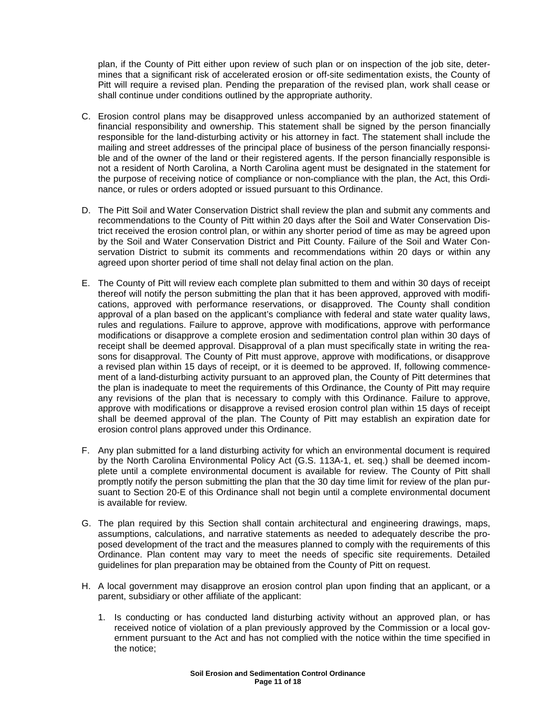plan, if the County of Pitt either upon review of such plan or on inspection of the job site, determines that a significant risk of accelerated erosion or off-site sedimentation exists, the County of Pitt will require a revised plan. Pending the preparation of the revised plan, work shall cease or shall continue under conditions outlined by the appropriate authority.

- C. Erosion control plans may be disapproved unless accompanied by an authorized statement of financial responsibility and ownership. This statement shall be signed by the person financially responsible for the land-disturbing activity or his attorney in fact. The statement shall include the mailing and street addresses of the principal place of business of the person financially responsible and of the owner of the land or their registered agents. If the person financially responsible is not a resident of North Carolina, a North Carolina agent must be designated in the statement for the purpose of receiving notice of compliance or non-compliance with the plan, the Act, this Ordinance, or rules or orders adopted or issued pursuant to this Ordinance.
- D. The Pitt Soil and Water Conservation District shall review the plan and submit any comments and recommendations to the County of Pitt within 20 days after the Soil and Water Conservation District received the erosion control plan, or within any shorter period of time as may be agreed upon by the Soil and Water Conservation District and Pitt County. Failure of the Soil and Water Conservation District to submit its comments and recommendations within 20 days or within any agreed upon shorter period of time shall not delay final action on the plan.
- E. The County of Pitt will review each complete plan submitted to them and within 30 days of receipt thereof will notify the person submitting the plan that it has been approved, approved with modifications, approved with performance reservations, or disapproved. The County shall condition approval of a plan based on the applicant's compliance with federal and state water quality laws, rules and regulations. Failure to approve, approve with modifications, approve with performance modifications or disapprove a complete erosion and sedimentation control plan within 30 days of receipt shall be deemed approval. Disapproval of a plan must specifically state in writing the reasons for disapproval. The County of Pitt must approve, approve with modifications, or disapprove a revised plan within 15 days of receipt, or it is deemed to be approved. If, following commencement of a land-disturbing activity pursuant to an approved plan, the County of Pitt determines that the plan is inadequate to meet the requirements of this Ordinance, the County of Pitt may require any revisions of the plan that is necessary to comply with this Ordinance. Failure to approve, approve with modifications or disapprove a revised erosion control plan within 15 days of receipt shall be deemed approval of the plan. The County of Pitt may establish an expiration date for erosion control plans approved under this Ordinance.
- F. Any plan submitted for a land disturbing activity for which an environmental document is required by the North Carolina Environmental Policy Act (G.S. 113A-1, et. seq.) shall be deemed incomplete until a complete environmental document is available for review. The County of Pitt shall promptly notify the person submitting the plan that the 30 day time limit for review of the plan pursuant to Section 20-E of this Ordinance shall not begin until a complete environmental document is available for review.
- G. The plan required by this Section shall contain architectural and engineering drawings, maps, assumptions, calculations, and narrative statements as needed to adequately describe the proposed development of the tract and the measures planned to comply with the requirements of this Ordinance. Plan content may vary to meet the needs of specific site requirements. Detailed guidelines for plan preparation may be obtained from the County of Pitt on request.
- H. A local government may disapprove an erosion control plan upon finding that an applicant, or a parent, subsidiary or other affiliate of the applicant:
	- 1. Is conducting or has conducted land disturbing activity without an approved plan, or has received notice of violation of a plan previously approved by the Commission or a local government pursuant to the Act and has not complied with the notice within the time specified in the notice;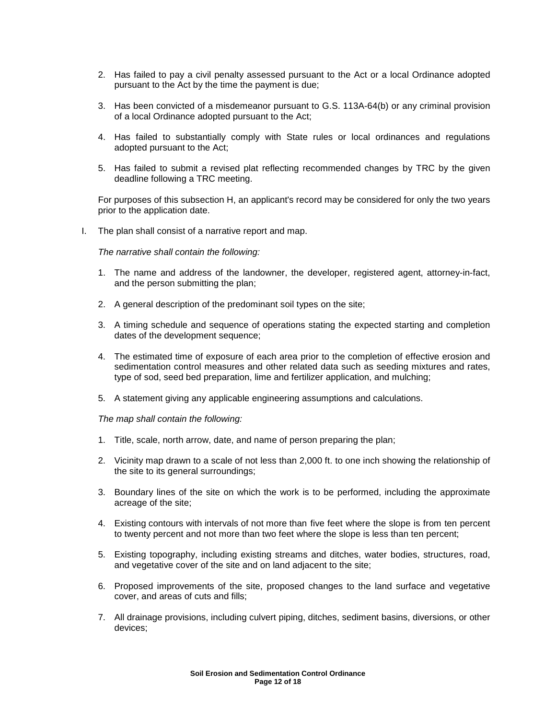- 2. Has failed to pay a civil penalty assessed pursuant to the Act or a local Ordinance adopted pursuant to the Act by the time the payment is due;
- 3. Has been convicted of a misdemeanor pursuant to G.S. 113A-64(b) or any criminal provision of a local Ordinance adopted pursuant to the Act;
- 4. Has failed to substantially comply with State rules or local ordinances and regulations adopted pursuant to the Act;
- 5. Has failed to submit a revised plat reflecting recommended changes by TRC by the given deadline following a TRC meeting.

For purposes of this subsection H, an applicant's record may be considered for only the two years prior to the application date.

I. The plan shall consist of a narrative report and map.

The narrative shall contain the following:

- 1. The name and address of the landowner, the developer, registered agent, attorney-in-fact, and the person submitting the plan;
- 2. A general description of the predominant soil types on the site;
- 3. A timing schedule and sequence of operations stating the expected starting and completion dates of the development sequence;
- 4. The estimated time of exposure of each area prior to the completion of effective erosion and sedimentation control measures and other related data such as seeding mixtures and rates, type of sod, seed bed preparation, lime and fertilizer application, and mulching;
- 5. A statement giving any applicable engineering assumptions and calculations.

The map shall contain the following:

- 1. Title, scale, north arrow, date, and name of person preparing the plan;
- 2. Vicinity map drawn to a scale of not less than 2,000 ft. to one inch showing the relationship of the site to its general surroundings;
- 3. Boundary lines of the site on which the work is to be performed, including the approximate acreage of the site;
- 4. Existing contours with intervals of not more than five feet where the slope is from ten percent to twenty percent and not more than two feet where the slope is less than ten percent;
- 5. Existing topography, including existing streams and ditches, water bodies, structures, road, and vegetative cover of the site and on land adjacent to the site;
- 6. Proposed improvements of the site, proposed changes to the land surface and vegetative cover, and areas of cuts and fills;
- 7. All drainage provisions, including culvert piping, ditches, sediment basins, diversions, or other devices;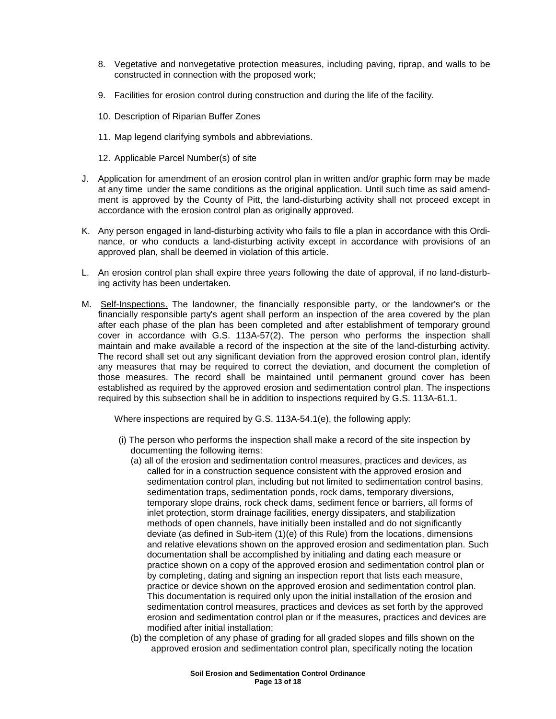- 8. Vegetative and nonvegetative protection measures, including paving, riprap, and walls to be constructed in connection with the proposed work;
- 9. Facilities for erosion control during construction and during the life of the facility.
- 10. Description of Riparian Buffer Zones
- 11. Map legend clarifying symbols and abbreviations.
- 12. Applicable Parcel Number(s) of site
- J. Application for amendment of an erosion control plan in written and/or graphic form may be made at any time under the same conditions as the original application. Until such time as said amendment is approved by the County of Pitt, the land-disturbing activity shall not proceed except in accordance with the erosion control plan as originally approved.
- K. Any person engaged in land-disturbing activity who fails to file a plan in accordance with this Ordinance, or who conducts a land-disturbing activity except in accordance with provisions of an approved plan, shall be deemed in violation of this article.
- L. An erosion control plan shall expire three years following the date of approval, if no land-disturbing activity has been undertaken.
- M. Self-Inspections. The landowner, the financially responsible party, or the landowner's or the financially responsible party's agent shall perform an inspection of the area covered by the plan after each phase of the plan has been completed and after establishment of temporary ground cover in accordance with G.S. 113A-57(2). The person who performs the inspection shall maintain and make available a record of the inspection at the site of the land-disturbing activity. The record shall set out any significant deviation from the approved erosion control plan, identify any measures that may be required to correct the deviation, and document the completion of those measures. The record shall be maintained until permanent ground cover has been established as required by the approved erosion and sedimentation control plan. The inspections required by this subsection shall be in addition to inspections required by G.S. 113A-61.1.

Where inspections are required by G.S. 113A-54.1(e), the following apply:

- (i) The person who performs the inspection shall make a record of the site inspection by documenting the following items:
	- (a) all of the erosion and sedimentation control measures, practices and devices, as called for in a construction sequence consistent with the approved erosion and sedimentation control plan, including but not limited to sedimentation control basins, sedimentation traps, sedimentation ponds, rock dams, temporary diversions, temporary slope drains, rock check dams, sediment fence or barriers, all forms of inlet protection, storm drainage facilities, energy dissipaters, and stabilization methods of open channels, have initially been installed and do not significantly deviate (as defined in Sub-item (1)(e) of this Rule) from the locations, dimensions and relative elevations shown on the approved erosion and sedimentation plan. Such documentation shall be accomplished by initialing and dating each measure or practice shown on a copy of the approved erosion and sedimentation control plan or by completing, dating and signing an inspection report that lists each measure, practice or device shown on the approved erosion and sedimentation control plan. This documentation is required only upon the initial installation of the erosion and sedimentation control measures, practices and devices as set forth by the approved erosion and sedimentation control plan or if the measures, practices and devices are modified after initial installation;
	- (b) the completion of any phase of grading for all graded slopes and fills shown on the approved erosion and sedimentation control plan, specifically noting the location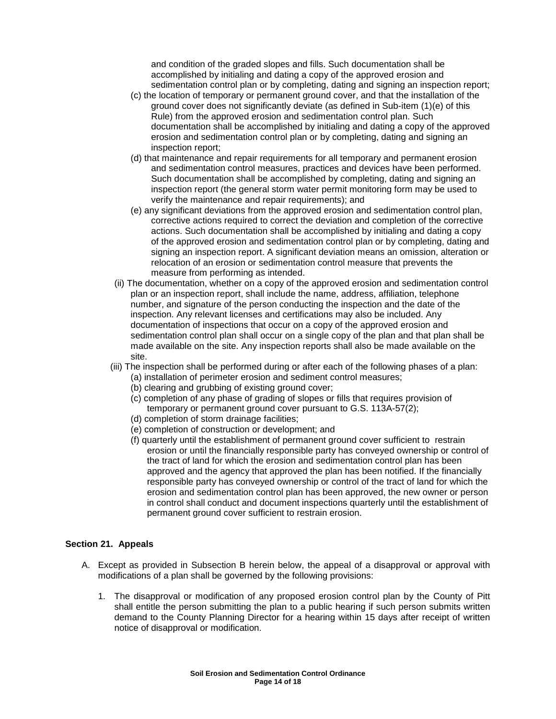and condition of the graded slopes and fills. Such documentation shall be accomplished by initialing and dating a copy of the approved erosion and sedimentation control plan or by completing, dating and signing an inspection report;

- (c) the location of temporary or permanent ground cover, and that the installation of the ground cover does not significantly deviate (as defined in Sub-item (1)(e) of this Rule) from the approved erosion and sedimentation control plan. Such documentation shall be accomplished by initialing and dating a copy of the approved erosion and sedimentation control plan or by completing, dating and signing an inspection report;
- (d) that maintenance and repair requirements for all temporary and permanent erosion and sedimentation control measures, practices and devices have been performed. Such documentation shall be accomplished by completing, dating and signing an inspection report (the general storm water permit monitoring form may be used to verify the maintenance and repair requirements); and
- (e) any significant deviations from the approved erosion and sedimentation control plan, corrective actions required to correct the deviation and completion of the corrective actions. Such documentation shall be accomplished by initialing and dating a copy of the approved erosion and sedimentation control plan or by completing, dating and signing an inspection report. A significant deviation means an omission, alteration or relocation of an erosion or sedimentation control measure that prevents the measure from performing as intended.
- (ii) The documentation, whether on a copy of the approved erosion and sedimentation control plan or an inspection report, shall include the name, address, affiliation, telephone number, and signature of the person conducting the inspection and the date of the inspection. Any relevant licenses and certifications may also be included. Any documentation of inspections that occur on a copy of the approved erosion and sedimentation control plan shall occur on a single copy of the plan and that plan shall be made available on the site. Any inspection reports shall also be made available on the site.
- (iii) The inspection shall be performed during or after each of the following phases of a plan:
	- (a) installation of perimeter erosion and sediment control measures;
	- (b) clearing and grubbing of existing ground cover;
	- (c) completion of any phase of grading of slopes or fills that requires provision of temporary or permanent ground cover pursuant to G.S. 113A-57(2);
	- (d) completion of storm drainage facilities;
	- (e) completion of construction or development; and
	- (f) quarterly until the establishment of permanent ground cover sufficient to restrain erosion or until the financially responsible party has conveyed ownership or control of the tract of land for which the erosion and sedimentation control plan has been approved and the agency that approved the plan has been notified. If the financially responsible party has conveyed ownership or control of the tract of land for which the erosion and sedimentation control plan has been approved, the new owner or person in control shall conduct and document inspections quarterly until the establishment of permanent ground cover sufficient to restrain erosion.

### **Section 21. Appeals**

- A. Except as provided in Subsection B herein below, the appeal of a disapproval or approval with modifications of a plan shall be governed by the following provisions:
	- 1. The disapproval or modification of any proposed erosion control plan by the County of Pitt shall entitle the person submitting the plan to a public hearing if such person submits written demand to the County Planning Director for a hearing within 15 days after receipt of written notice of disapproval or modification.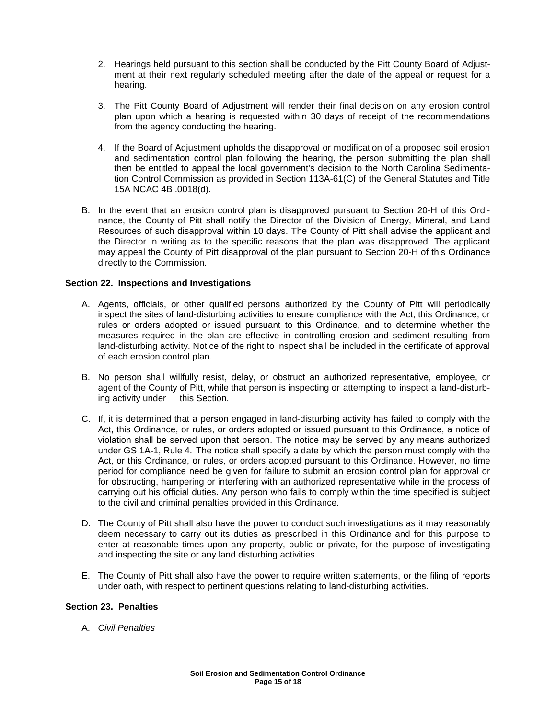- 2. Hearings held pursuant to this section shall be conducted by the Pitt County Board of Adjustment at their next regularly scheduled meeting after the date of the appeal or request for a hearing.
- 3. The Pitt County Board of Adjustment will render their final decision on any erosion control plan upon which a hearing is requested within 30 days of receipt of the recommendations from the agency conducting the hearing.
- 4. If the Board of Adjustment upholds the disapproval or modification of a proposed soil erosion and sedimentation control plan following the hearing, the person submitting the plan shall then be entitled to appeal the local government's decision to the North Carolina Sedimentation Control Commission as provided in Section 113A-61(C) of the General Statutes and Title 15A NCAC 4B .0018(d).
- B. In the event that an erosion control plan is disapproved pursuant to Section 20-H of this Ordinance, the County of Pitt shall notify the Director of the Division of Energy, Mineral, and Land Resources of such disapproval within 10 days. The County of Pitt shall advise the applicant and the Director in writing as to the specific reasons that the plan was disapproved. The applicant may appeal the County of Pitt disapproval of the plan pursuant to Section 20-H of this Ordinance directly to the Commission.

# **Section 22. Inspections and Investigations**

- A. Agents, officials, or other qualified persons authorized by the County of Pitt will periodically inspect the sites of land-disturbing activities to ensure compliance with the Act, this Ordinance, or rules or orders adopted or issued pursuant to this Ordinance, and to determine whether the measures required in the plan are effective in controlling erosion and sediment resulting from land-disturbing activity. Notice of the right to inspect shall be included in the certificate of approval of each erosion control plan.
- B. No person shall willfully resist, delay, or obstruct an authorized representative, employee, or agent of the County of Pitt, while that person is inspecting or attempting to inspect a land-disturbing activity under this Section.
- C. If, it is determined that a person engaged in land-disturbing activity has failed to comply with the Act, this Ordinance, or rules, or orders adopted or issued pursuant to this Ordinance, a notice of violation shall be served upon that person. The notice may be served by any means authorized under GS 1A-1, Rule 4. The notice shall specify a date by which the person must comply with the Act, or this Ordinance, or rules, or orders adopted pursuant to this Ordinance. However, no time period for compliance need be given for failure to submit an erosion control plan for approval or for obstructing, hampering or interfering with an authorized representative while in the process of carrying out his official duties. Any person who fails to comply within the time specified is subject to the civil and criminal penalties provided in this Ordinance.
- D. The County of Pitt shall also have the power to conduct such investigations as it may reasonably deem necessary to carry out its duties as prescribed in this Ordinance and for this purpose to enter at reasonable times upon any property, public or private, for the purpose of investigating and inspecting the site or any land disturbing activities.
- E. The County of Pitt shall also have the power to require written statements, or the filing of reports under oath, with respect to pertinent questions relating to land-disturbing activities.

### **Section 23. Penalties**

A. Civil Penalties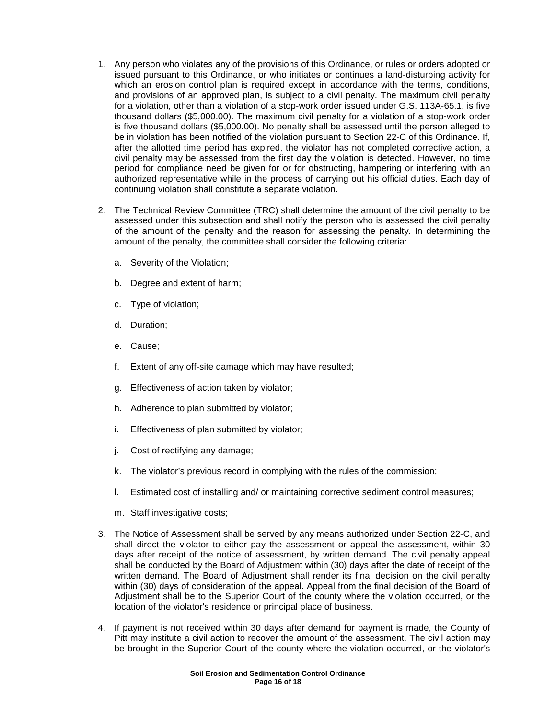- 1. Any person who violates any of the provisions of this Ordinance, or rules or orders adopted or issued pursuant to this Ordinance, or who initiates or continues a land-disturbing activity for which an erosion control plan is required except in accordance with the terms, conditions, and provisions of an approved plan, is subject to a civil penalty. The maximum civil penalty for a violation, other than a violation of a stop-work order issued under G.S. 113A-65.1, is five thousand dollars (\$5,000.00). The maximum civil penalty for a violation of a stop-work order is five thousand dollars (\$5,000.00). No penalty shall be assessed until the person alleged to be in violation has been notified of the violation pursuant to Section 22-C of this Ordinance. If, after the allotted time period has expired, the violator has not completed corrective action, a civil penalty may be assessed from the first day the violation is detected. However, no time period for compliance need be given for or for obstructing, hampering or interfering with an authorized representative while in the process of carrying out his official duties. Each day of continuing violation shall constitute a separate violation.
- 2. The Technical Review Committee (TRC) shall determine the amount of the civil penalty to be assessed under this subsection and shall notify the person who is assessed the civil penalty of the amount of the penalty and the reason for assessing the penalty. In determining the amount of the penalty, the committee shall consider the following criteria:
	- a. Severity of the Violation;
	- b. Degree and extent of harm;
	- c. Type of violation;
	- d. Duration;
	- e. Cause;
	- f. Extent of any off-site damage which may have resulted;
	- g. Effectiveness of action taken by violator;
	- h. Adherence to plan submitted by violator;
	- i. Effectiveness of plan submitted by violator;
	- j. Cost of rectifying any damage;
	- k. The violator's previous record in complying with the rules of the commission;
	- l. Estimated cost of installing and/ or maintaining corrective sediment control measures;
	- m. Staff investigative costs;
- 3. The Notice of Assessment shall be served by any means authorized under Section 22-C, and shall direct the violator to either pay the assessment or appeal the assessment, within 30 days after receipt of the notice of assessment, by written demand. The civil penalty appeal shall be conducted by the Board of Adjustment within (30) days after the date of receipt of the written demand. The Board of Adjustment shall render its final decision on the civil penalty within (30) days of consideration of the appeal. Appeal from the final decision of the Board of Adjustment shall be to the Superior Court of the county where the violation occurred, or the location of the violator's residence or principal place of business.
- 4. If payment is not received within 30 days after demand for payment is made, the County of Pitt may institute a civil action to recover the amount of the assessment. The civil action may be brought in the Superior Court of the county where the violation occurred, or the violator's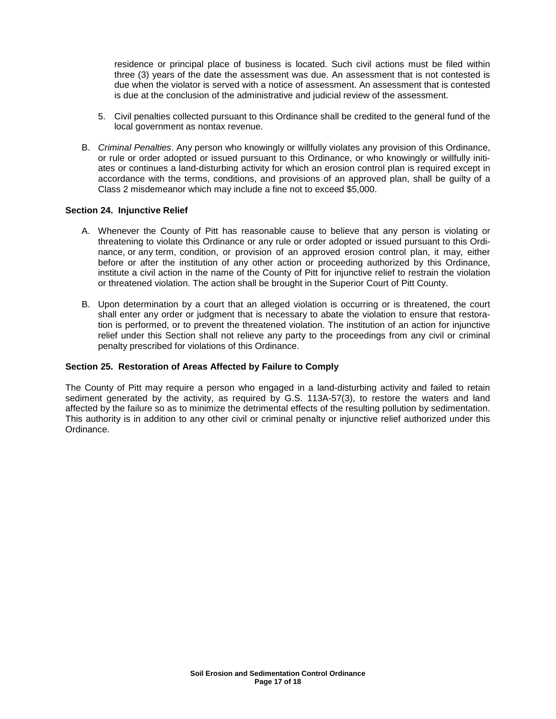residence or principal place of business is located. Such civil actions must be filed within three (3) years of the date the assessment was due. An assessment that is not contested is due when the violator is served with a notice of assessment. An assessment that is contested is due at the conclusion of the administrative and judicial review of the assessment.

- 5. Civil penalties collected pursuant to this Ordinance shall be credited to the general fund of the local government as nontax revenue.
- B. Criminal Penalties. Any person who knowingly or willfully violates any provision of this Ordinance, or rule or order adopted or issued pursuant to this Ordinance, or who knowingly or willfully initiates or continues a land-disturbing activity for which an erosion control plan is required except in accordance with the terms, conditions, and provisions of an approved plan, shall be guilty of a Class 2 misdemeanor which may include a fine not to exceed \$5,000.

#### **Section 24. Injunctive Relief**

- A. Whenever the County of Pitt has reasonable cause to believe that any person is violating or threatening to violate this Ordinance or any rule or order adopted or issued pursuant to this Ordinance, or any term, condition, or provision of an approved erosion control plan, it may, either before or after the institution of any other action or proceeding authorized by this Ordinance, institute a civil action in the name of the County of Pitt for injunctive relief to restrain the violation or threatened violation. The action shall be brought in the Superior Court of Pitt County.
- B. Upon determination by a court that an alleged violation is occurring or is threatened, the court shall enter any order or judgment that is necessary to abate the violation to ensure that restoration is performed, or to prevent the threatened violation. The institution of an action for injunctive relief under this Section shall not relieve any party to the proceedings from any civil or criminal penalty prescribed for violations of this Ordinance.

### **Section 25. Restoration of Areas Affected by Failure to Comply**

The County of Pitt may require a person who engaged in a land-disturbing activity and failed to retain sediment generated by the activity, as required by G.S. 113A-57(3), to restore the waters and land affected by the failure so as to minimize the detrimental effects of the resulting pollution by sedimentation. This authority is in addition to any other civil or criminal penalty or injunctive relief authorized under this Ordinance.